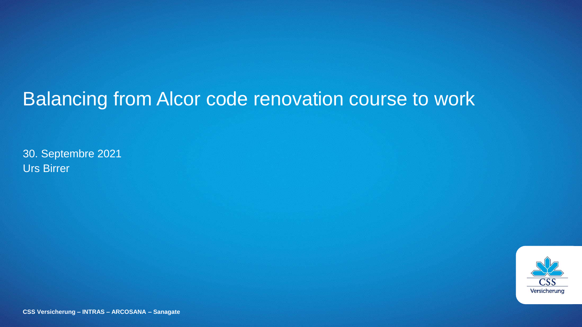## Balancing from Alcor code renovation course to work

30. Septembre 2021 **Urs Birrer** 



**CSS Versicherung - INTRAS - ARCOSANA - Sanagate**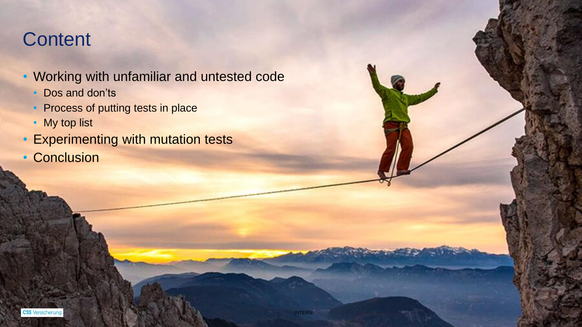### **Content**

- Working with unfamiliar and untested code
	- Dos and don'ts
	- Process of putting tests in place
	- My top list
- Experimenting with mutation tests
- Conclusion

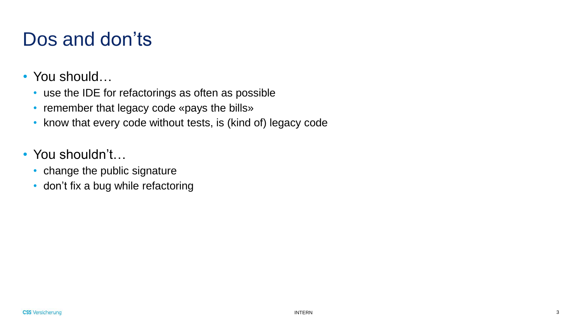## Dos and don'ts

- You should…
	- use the IDE for refactorings as often as possible
	- remember that legacy code «pays the bills»
	- know that every code without tests, is (kind of) legacy code
- You shouldn't…
	- change the public signature
	- don't fix a bug while refactoring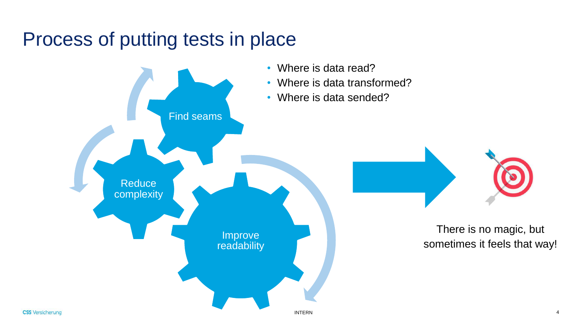### Process of putting tests in place

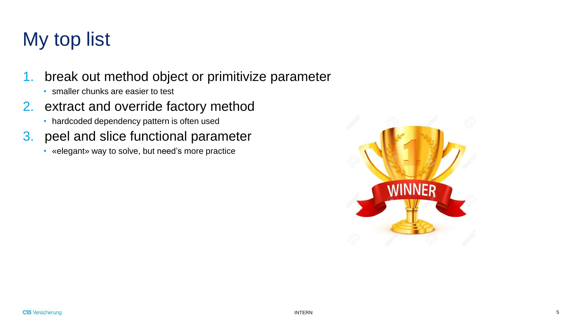# My top list

### 1. break out method object or primitivize parameter

- smaller chunks are easier to test
- 2. extract and override factory method
	- hardcoded dependency pattern is often used
- 3. peel and slice functional parameter
	- «elegant» way to solve, but need's more practice

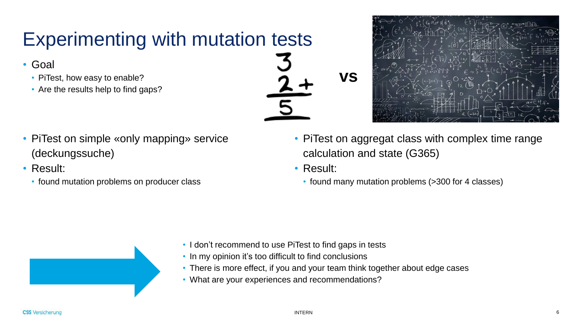## Experimenting with mutation tests

#### • Goal

- PiTest, how easy to enable?
- Are the results help to find gaps?

**vs**



- PiTest on simple «only mapping» service (deckungssuche)
- Result:

**CSS** Versicherung

• found mutation problems on producer class

- PiTest on aggregat class with complex time range calculation and state (G365)
- Result:
	- found many mutation problems (>300 for 4 classes)

- I don't recommend to use PiTest to find gaps in tests
- In my opinion it's too difficult to find conclusions
- There is more effect, if you and your team think together about edge cases
- What are your experiences and recommendations?

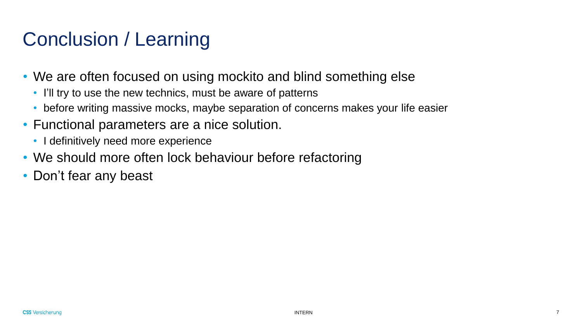## Conclusion / Learning

- We are often focused on using mockito and blind something else
	- I'll try to use the new technics, must be aware of patterns
	- before writing massive mocks, maybe separation of concerns makes your life easier
- Functional parameters are a nice solution.
	- I definitively need more experience
- We should more often lock behaviour before refactoring
- Don't fear any beast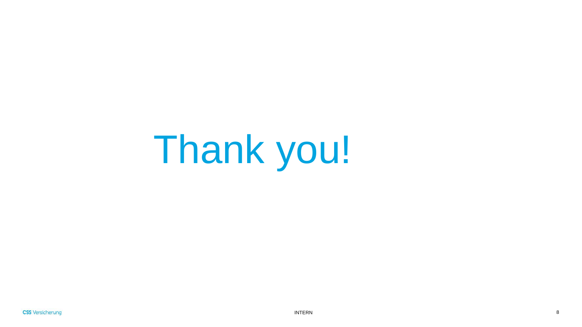Thank you!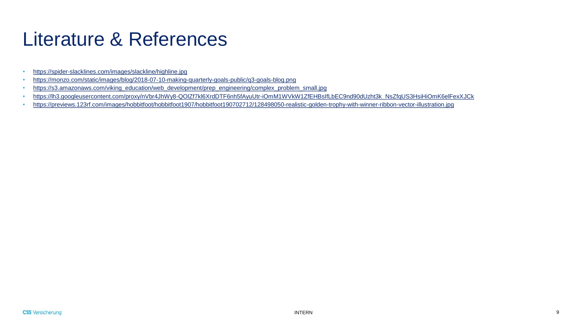## Literature & References

- <https://spider-slacklines.com/images/slackline/highline.jpg>
- <https://monzo.com/static/images/blog/2018-07-10-making-quarterly-goals-public/q3-goals-blog.png>
- [https://s3.amazonaws.com/viking\\_education/web\\_development/prep\\_engineering/complex\\_problem\\_small.jpg](https://s3.amazonaws.com/viking_education/web_development/prep_engineering/complex_problem_small.jpg)
- https://lh3.googleusercontent.com/proxy/nVbr4JhWy8-QOIZf7kl6XrdDTF6nh5fAyuUtr-iOmM1WVkW1ZfEHBsIfLbEC9nd90dUzht3k\_NsZfqUS3HsiHiOmK6elFexXJCk
- <https://previews.123rf.com/images/hobbitfoot/hobbitfoot1907/hobbitfoot190702712/128498050-realistic-golden-trophy-with-winner-ribbon-vector-illustration.jpg>